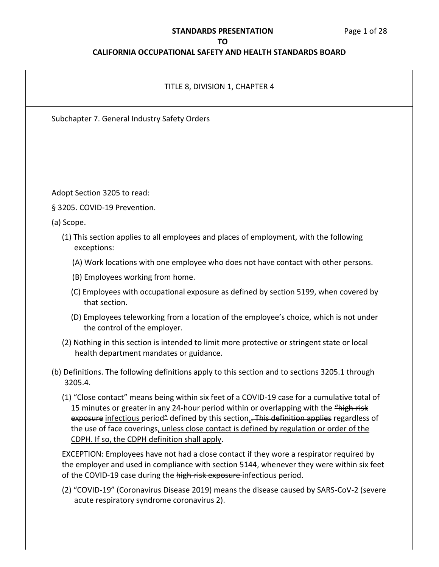### **STANDARDS PRESENTATION**

### **TO**

## **CALIFORNIA OCCUPATIONAL SAFETY AND HEALTH STANDARDS BOARD**

|            | TITLE 8, DIVISION 1, CHAPTER 4                                                                                                                                                                                                                                                                                                                                                                                                   |
|------------|----------------------------------------------------------------------------------------------------------------------------------------------------------------------------------------------------------------------------------------------------------------------------------------------------------------------------------------------------------------------------------------------------------------------------------|
|            | Subchapter 7. General Industry Safety Orders                                                                                                                                                                                                                                                                                                                                                                                     |
|            |                                                                                                                                                                                                                                                                                                                                                                                                                                  |
|            |                                                                                                                                                                                                                                                                                                                                                                                                                                  |
|            | Adopt Section 3205 to read:                                                                                                                                                                                                                                                                                                                                                                                                      |
|            | § 3205. COVID-19 Prevention.                                                                                                                                                                                                                                                                                                                                                                                                     |
| (a) Scope. |                                                                                                                                                                                                                                                                                                                                                                                                                                  |
|            | (1) This section applies to all employees and places of employment, with the following<br>exceptions:                                                                                                                                                                                                                                                                                                                            |
|            | (A) Work locations with one employee who does not have contact with other persons.                                                                                                                                                                                                                                                                                                                                               |
|            | (B) Employees working from home.                                                                                                                                                                                                                                                                                                                                                                                                 |
|            | (C) Employees with occupational exposure as defined by section 5199, when covered by<br>that section.                                                                                                                                                                                                                                                                                                                            |
|            | (D) Employees teleworking from a location of the employee's choice, which is not under<br>the control of the employer.                                                                                                                                                                                                                                                                                                           |
|            | (2) Nothing in this section is intended to limit more protective or stringent state or local<br>health department mandates or guidance.                                                                                                                                                                                                                                                                                          |
|            | (b) Definitions. The following definitions apply to this section and to sections 3205.1 through<br>3205.4.                                                                                                                                                                                                                                                                                                                       |
|            | (1) "Close contact" means being within six feet of a COVID-19 case for a cumulative total of<br>15 minutes or greater in any 24-hour period within or overlapping with the "high-risk<br>exposure infectious period" defined by this section, This definition applies regardless of<br>the use of face coverings, unless close contact is defined by regulation or order of the<br>CDPH. If so, the CDPH definition shall apply. |
|            | EXCEPTION: Employees have not had a close contact if they wore a respirator required by<br>the employer and used in compliance with section 5144, whenever they were within six feet<br>of the COVID-19 case during the high-risk exposure-infectious period.                                                                                                                                                                    |

(2) "COVID-19" (Coronavirus Disease 2019) means the disease caused by SARS-CoV-2 (severe acute respiratory syndrome coronavirus 2).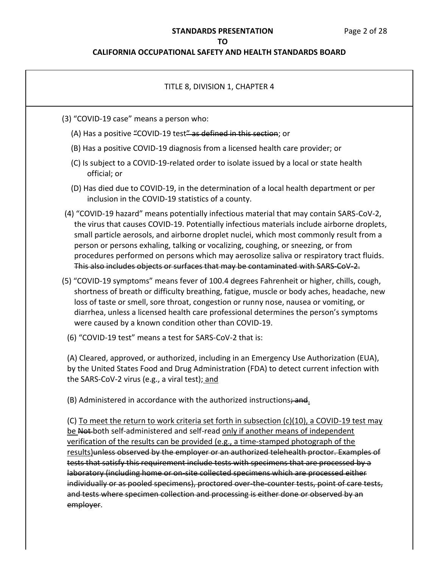### **STANDARDS PRESENTATION** Page 2 of 28

#### **TO**

### **CALIFORNIA OCCUPATIONAL SAFETY AND HEALTH STANDARDS BOARD**

### TITLE 8, DIVISION 1, CHAPTER 4

- (3) "COVID-19 case" means a person who:
	- (A) Has a positive "COVID-19 test" as defined in this section; or
	- (B) Has a positive COVID-19 diagnosis from a licensed health care provider; or
	- (C) Is subject to a COVID-19-related order to isolate issued by a local or state health official; or
	- (D) Has died due to COVID-19, in the determination of a local health department or per inclusion in the COVID-19 statistics of a county.
- (4) "COVID-19 hazard" means potentially infectious material that may contain SARS-CoV-2, the virus that causes COVID-19. Potentially infectious materials include airborne droplets, small particle aerosols, and airborne droplet nuclei, which most commonly result from a person or persons exhaling, talking or vocalizing, coughing, or sneezing, or from procedures performed on persons which may aerosolize saliva or respiratory tract fluids. This also includes objects or surfaces that may be contaminated with SARS-CoV-2.
- (5) "COVID-19 symptoms" means fever of 100.4 degrees Fahrenheit or higher, chills, cough, shortness of breath or difficulty breathing, fatigue, muscle or body aches, headache, new loss of taste or smell, sore throat, congestion or runny nose, nausea or vomiting, or diarrhea, unless a licensed health care professional determines the person's symptoms were caused by a known condition other than COVID-19.
	- (6) "COVID-19 test" means a test for SARS-CoV-2 that is:

 (A) Cleared, approved, or authorized, including in an Emergency Use Authorization (EUA), by the United States Food and Drug Administration (FDA) to detect current infection with the SARS-CoV-2 virus (e.g., a viral test); and

(B) Administered in accordance with the authorized instructions<del>; and</del>.

 (C) To meet the return to work criteria set forth in subsection (c)(10), a COVID-19 test may be Not both self-administered and self-read only if another means of independent verification of the results can be provided (e.g., a time-stamped photograph of the results)unless observed by the employer or an authorized telehealth proctor. Examples of tests that satisfy this requirement include tests with specimens that are processed by a laboratory (including home or on-site collected specimens which are processed either individually or as pooled specimens), proctored over-the-counter tests, point of care tests, and tests where specimen collection and processing is either done or observed by an employer.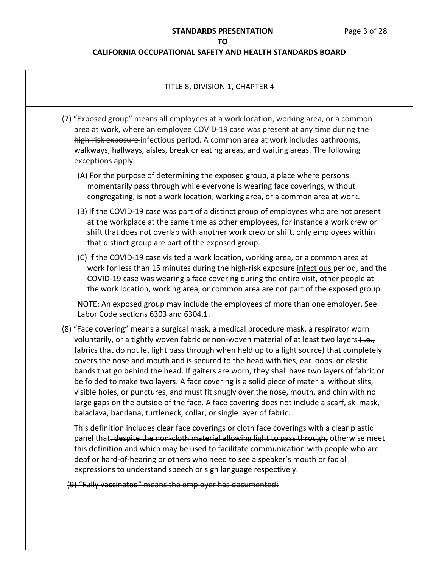### **CALIFORNIA OCCUPATIONAL SAFETY AND HEALTH STANDARDS BOARD**

## TITLE 8, DIVISION 1, CHAPTER 4

- (7) "Exposed group" means all employees at a work location, working area, or a common high-risk exposure-infectious period. A common area at work includes bathrooms, walkways, hallways, aisles, break or eating areas, and waiting areas. The following area at work, where an employee COVID-19 case was present at any time during the exceptions apply:
	- (A) For the purpose of determining the exposed group, a place where persons momentarily pass through while everyone is wearing face coverings, without congregating, is not a work location, working area, or a common area at work.
	- (B) If the COVID-19 case was part of a distinct group of employees who are not present at the workplace at the same time as other employees, for instance a work crew or shift that does not overlap with another work crew or shift, only employees within that distinct group are part of the exposed group.
	- (C) If the COVID-19 case visited a work location, working area, or a common area at work for less than 15 minutes during the-high-risk exposure infectious period, and the COVID-19 case was wearing a face covering during the entire visit, other people at the work location, working area, or common area are not part of the exposed group.

 NOTE: An exposed group may include the employees of more than one employer. See Labor Code sections 6303 and 6304.1.

 (8) "Face covering" means a surgical mask, a medical procedure mask, a respirator worn voluntarily, or a tightly woven fabric or non-woven material of at least two layers <del>(i.e.,</del> fabrics that do not let light pass through when held up to a light source) that completely covers the nose and mouth and is secured to the head with ties, ear loops, or elastic bands that go behind the head. If gaiters are worn, they shall have two layers of fabric or be folded to make two layers. A face covering is a solid piece of material without slits, visible holes, or punctures, and must fit snugly over the nose, mouth, and chin with no large gaps on the outside of the face. A face covering does not include a scarf, ski mask, balaclava, bandana, turtleneck, collar, or single layer of fabric.

 This definition includes clear face coverings or cloth face coverings with a clear plastic panel that<del>, despite the non-cloth material allowing light to pass through,</del> otherwise meet this definition and which may be used to facilitate communication with people who are deaf or hard-of-hearing or others who need to see a speaker's mouth or facial expressions to understand speech or sign language respectively.

(9) "Fully vaccinated" means the employer has documented: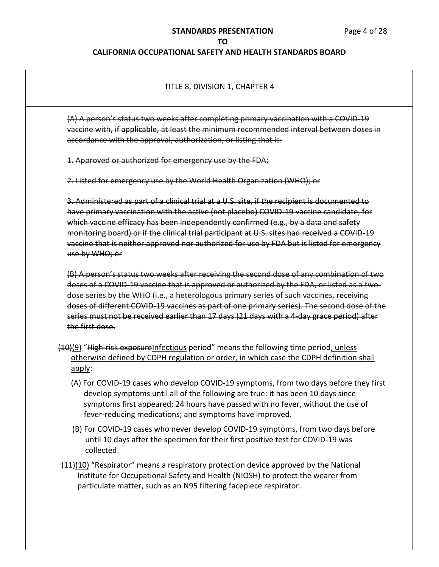### **CALIFORNIA OCCUPATIONAL SAFETY AND HEALTH STANDARDS BOARD**

### TITLE 8, DIVISION 1, CHAPTER 4

 vaccine with, if applicable, at least the minimum recommended interval between doses in accordance with the approval, authorization, or listing that is: (A) A person's status two weeks after completing primary vaccination with a COVID-19

1. Approved or authorized for emergency use by the FDA;

2. Listed for emergency use by the World Health Organization (WHO); or

 3. Administered as part of a clinical trial at a U.S. site, if the recipient is documented to have primary vaccination with the active (not placebo) COVID-19 vaccine candidate, for which vaccine efficacy has been independently confirmed (e.g., by a data and safety monitoring board) or if the clinical trial participant at U.S. sites had received a COVID-19 vaccine that is neither approved nor authorized for use by FDA but is listed for emergency use by WHO; or

 (B) A person's status two weeks after receiving the second dose of any combination of two doses of a COVID-19 vaccine that is approved or authorized by the FDA, or listed as a two- dose series by the WHO (i.e., a heterologous primary series of such vaccines, receiving doses of different COVID-19 vaccines as part of one primary series). The second dose of the series must not be received earlier than 17 days (21 days with a 4-day grace period) after the first dose.

- (10)(9) "High-risk exposureInfectious period" means the following time period, unless otherwise defined by CDPH regulation or order, in which case the CDPH definition shall apply:
	- (A) For COVID-19 cases who develop COVID-19 symptoms, from two days before they first develop symptoms until all of the following are true: it has been 10 days since symptoms first appeared; 24 hours have passed with no fever, without the use of fever-reducing medications; and symptoms have improved.
	- (B) For COVID-19 cases who never develop COVID-19 symptoms, from two days before until 10 days after the specimen for their first positive test for COVID-19 was collected.
- Institute for Occupational Safety and Health (NIOSH) to protect the wearer from particulate matter, such as an N95 filtering facepiece respirator.  $(11)(10)$  "Respirator" means a respiratory protection device approved by the National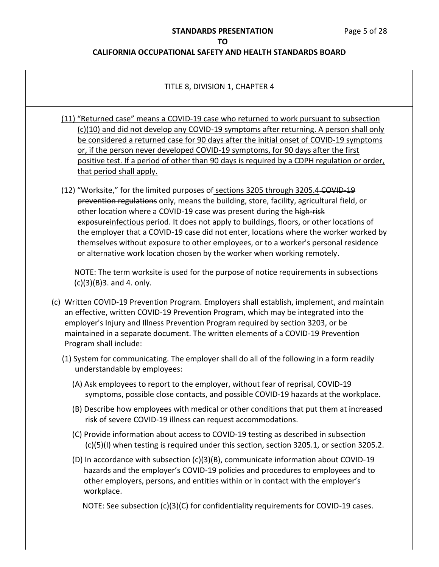### **CALIFORNIA OCCUPATIONAL SAFETY AND HEALTH STANDARDS BOARD**

## TITLE 8, DIVISION 1, CHAPTER 4

- (11) "Returned case" means a COVID-19 case who returned to work pursuant to subsection (c)(10) and did not develop any COVID-19 symptoms after returning. A person shall only be considered a returned case for 90 days after the initial onset of COVID-19 symptoms or, if the person never developed COVID-19 symptoms, for 90 days after the first positive test. If a period of other than 90 days is required by a CDPH regulation or order, that period shall apply.
- (12) "Worksite," for the limited purposes of sections 3205 through 3205.4 COVID-19 exposureinfectious period. It does not apply to buildings, floors, or other locations of the employer that a COVID-19 case did not enter, locations where the worker worked by themselves without exposure to other employees, or to a worker's personal residence or alternative work location chosen by the worker when working remotely. prevention regulations only, means the building, store, facility, agricultural field, or other location where a COVID-19 case was present during the high-risk

 NOTE: The term worksite is used for the purpose of notice requirements in subsections  $(c)(3)(B)3.$  and 4. only.

- (c) Written COVID-19 Prevention Program. Employers shall establish, implement, and maintain an effective, written COVID-19 Prevention Program, which may be integrated into the employer's Injury and Illness Prevention Program required by section 3203, or be maintained in a separate document. The written elements of a COVID-19 Prevention Program shall include:
	- (1) System for communicating. The employer shall do all of the following in a form readily understandable by employees:
		- (A) Ask employees to report to the employer, without fear of reprisal, COVID-19 symptoms, possible close contacts, and possible COVID-19 hazards at the workplace.
		- (B) Describe how employees with medical or other conditions that put them at increased risk of severe COVID-19 illness can request accommodations.
		- (C) Provide information about access to COVID-19 testing as described in subsection (c)(5)(I) when testing is required under this section, section 3205.1, or section 3205.2.
		- (D) In accordance with subsection (c)(3)(B), communicate information about COVID-19 other employers, persons, and entities within or in contact with the employer's hazards and the employer's COVID-19 policies and procedures to employees and to workplace.

NOTE: See subsection (c)(3)(C) for confidentiality requirements for COVID-19 cases.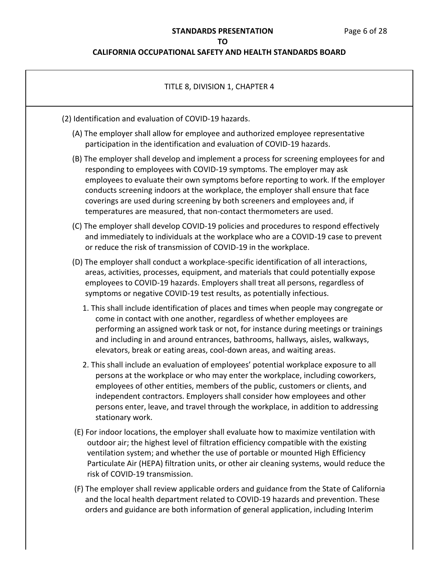| TITLE 8, DIVISION 1, CHAPTER 4                                                                                                                                                                                                                                                                                                                                                                                                                                                                |
|-----------------------------------------------------------------------------------------------------------------------------------------------------------------------------------------------------------------------------------------------------------------------------------------------------------------------------------------------------------------------------------------------------------------------------------------------------------------------------------------------|
| (2) Identification and evaluation of COVID-19 hazards.                                                                                                                                                                                                                                                                                                                                                                                                                                        |
| (A) The employer shall allow for employee and authorized employee representative<br>participation in the identification and evaluation of COVID-19 hazards.                                                                                                                                                                                                                                                                                                                                   |
| (B) The employer shall develop and implement a process for screening employees for and<br>responding to employees with COVID-19 symptoms. The employer may ask<br>employees to evaluate their own symptoms before reporting to work. If the employer<br>conducts screening indoors at the workplace, the employer shall ensure that face<br>coverings are used during screening by both screeners and employees and, if<br>temperatures are measured, that non-contact thermometers are used. |
| (C) The employer shall develop COVID-19 policies and procedures to respond effectively<br>and immediately to individuals at the workplace who are a COVID-19 case to prevent<br>or reduce the risk of transmission of COVID-19 in the workplace.                                                                                                                                                                                                                                              |
| (D) The employer shall conduct a workplace-specific identification of all interactions,<br>areas, activities, processes, equipment, and materials that could potentially expose<br>employees to COVID-19 hazards. Employers shall treat all persons, regardless of<br>symptoms or negative COVID-19 test results, as potentially infectious.                                                                                                                                                  |
| 1. This shall include identification of places and times when people may congregate or<br>come in contact with one another, regardless of whether employees are<br>performing an assigned work task or not, for instance during meetings or trainings<br>and including in and around entrances, bathrooms, hallways, aisles, walkways,<br>elevators, break or eating areas, cool-down areas, and waiting areas.                                                                               |
| 2. This shall include an evaluation of employees' potential workplace exposure to all<br>persons at the workplace or who may enter the workplace, including coworkers,<br>employees of other entities, members of the public, customers or clients, and<br>independent contractors. Employers shall consider how employees and other<br>persons enter, leave, and travel through the workplace, in addition to addressing<br>stationary work.                                                 |
| (E) For indoor locations, the employer shall evaluate how to maximize ventilation with<br>outdoor air; the highest level of filtration efficiency compatible with the existing<br>ventilation system; and whether the use of portable or mounted High Efficiency<br>Particulate Air (HEPA) filtration units, or other air cleaning systems, would reduce the<br>risk of COVID-19 transmission.                                                                                                |
| (F) The employer shall review applicable orders and guidance from the State of California<br>and the local health department related to COVID-19 hazards and prevention. These<br>orders and guidance are both information of general application, including Interim                                                                                                                                                                                                                          |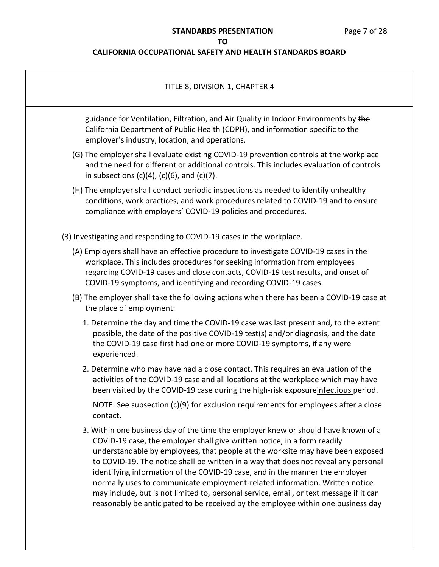# **STANDARDS PRESENTATION** Page 7 of 28

## **TO**

| TITLE 8, DIVISION 1, CHAPTER 4                                                                                                                                                                                                                                                                                                                                                                                                                                                                                                                                                                                                                                                       |
|--------------------------------------------------------------------------------------------------------------------------------------------------------------------------------------------------------------------------------------------------------------------------------------------------------------------------------------------------------------------------------------------------------------------------------------------------------------------------------------------------------------------------------------------------------------------------------------------------------------------------------------------------------------------------------------|
| guidance for Ventilation, Filtration, and Air Quality in Indoor Environments by the<br>California Department of Public Health (CDPH), and information specific to the<br>employer's industry, location, and operations.                                                                                                                                                                                                                                                                                                                                                                                                                                                              |
| (G) The employer shall evaluate existing COVID-19 prevention controls at the workplace<br>and the need for different or additional controls. This includes evaluation of controls<br>in subsections $(c)(4)$ , $(c)(6)$ , and $(c)(7)$ .                                                                                                                                                                                                                                                                                                                                                                                                                                             |
| (H) The employer shall conduct periodic inspections as needed to identify unhealthy<br>conditions, work practices, and work procedures related to COVID-19 and to ensure<br>compliance with employers' COVID-19 policies and procedures.                                                                                                                                                                                                                                                                                                                                                                                                                                             |
| (3) Investigating and responding to COVID-19 cases in the workplace.                                                                                                                                                                                                                                                                                                                                                                                                                                                                                                                                                                                                                 |
| (A) Employers shall have an effective procedure to investigate COVID-19 cases in the<br>workplace. This includes procedures for seeking information from employees<br>regarding COVID-19 cases and close contacts, COVID-19 test results, and onset of<br>COVID-19 symptoms, and identifying and recording COVID-19 cases.                                                                                                                                                                                                                                                                                                                                                           |
| (B) The employer shall take the following actions when there has been a COVID-19 case at<br>the place of employment:                                                                                                                                                                                                                                                                                                                                                                                                                                                                                                                                                                 |
| 1. Determine the day and time the COVID-19 case was last present and, to the extent<br>possible, the date of the positive COVID-19 test(s) and/or diagnosis, and the date<br>the COVID-19 case first had one or more COVID-19 symptoms, if any were<br>experienced.                                                                                                                                                                                                                                                                                                                                                                                                                  |
| 2. Determine who may have had a close contact. This requires an evaluation of the<br>activities of the COVID-19 case and all locations at the workplace which may have<br>been visited by the COVID-19 case during the high risk exposure infectious period.                                                                                                                                                                                                                                                                                                                                                                                                                         |
| NOTE: See subsection $(c)(9)$ for exclusion requirements for employees after a close<br>contact.                                                                                                                                                                                                                                                                                                                                                                                                                                                                                                                                                                                     |
| 3. Within one business day of the time the employer knew or should have known of a<br>COVID-19 case, the employer shall give written notice, in a form readily<br>understandable by employees, that people at the worksite may have been exposed<br>to COVID-19. The notice shall be written in a way that does not reveal any personal<br>identifying information of the COVID-19 case, and in the manner the employer<br>normally uses to communicate employment-related information. Written notice<br>may include, but is not limited to, personal service, email, or text message if it can<br>reasonably be anticipated to be received by the employee within one business day |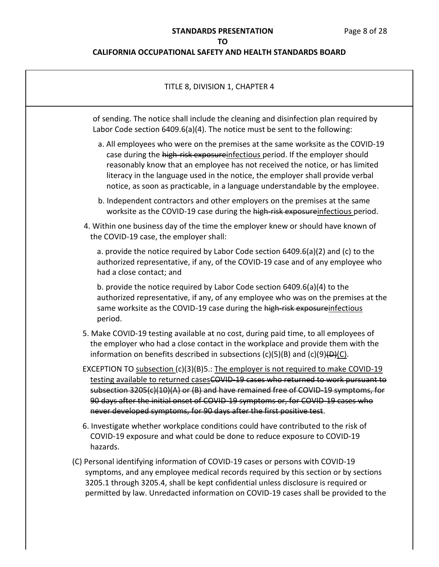| TITLE 8, DIVISION 1, CHAPTER 4                                                                                                                                                                                                                                                                                                                                                                                            |
|---------------------------------------------------------------------------------------------------------------------------------------------------------------------------------------------------------------------------------------------------------------------------------------------------------------------------------------------------------------------------------------------------------------------------|
| of sending. The notice shall include the cleaning and disinfection plan required by<br>Labor Code section 6409.6(a)(4). The notice must be sent to the following:                                                                                                                                                                                                                                                         |
| a. All employees who were on the premises at the same worksite as the COVID-19<br>case during the high-risk exposureinfectious period. If the employer should<br>reasonably know that an employee has not received the notice, or has limited<br>literacy in the language used in the notice, the employer shall provide verbal<br>notice, as soon as practicable, in a language understandable by the employee.          |
| b. Independent contractors and other employers on the premises at the same<br>worksite as the COVID-19 case during the high-risk exposure infectious period.                                                                                                                                                                                                                                                              |
| 4. Within one business day of the time the employer knew or should have known of<br>the COVID-19 case, the employer shall:                                                                                                                                                                                                                                                                                                |
| a. provide the notice required by Labor Code section 6409.6(a)(2) and (c) to the<br>authorized representative, if any, of the COVID-19 case and of any employee who<br>had a close contact; and                                                                                                                                                                                                                           |
| b. provide the notice required by Labor Code section 6409.6(a)(4) to the<br>authorized representative, if any, of any employee who was on the premises at the<br>same worksite as the COVID-19 case during the high-risk exposure infectious<br>period.                                                                                                                                                                   |
| 5. Make COVID-19 testing available at no cost, during paid time, to all employees of<br>the employer who had a close contact in the workplace and provide them with the<br>information on benefits described in subsections $(c)(5)(B)$ and $(c)(9)(D)(C)$ .                                                                                                                                                              |
| EXCEPTION TO subsection (c)(3)(B)5.: The employer is not required to make COVID-19<br>testing available to returned cases COVID-19 cases who returned to work pursuant to<br>subsection 3205(c)(10)(A) or (B) and have remained free of COVID 19 symptoms, for<br>90 days after the initial onset of COVID 19 symptoms or, for COVID 19 cases who<br>never developed symptoms, for 90 days after the first positive test. |
| 6. Investigate whether workplace conditions could have contributed to the risk of<br>COVID-19 exposure and what could be done to reduce exposure to COVID-19<br>hazards.                                                                                                                                                                                                                                                  |
| (C) Personal identifying information of COVID-19 cases or persons with COVID-19<br>symptoms, and any employee medical records required by this section or by sections<br>3205.1 through 3205.4, shall be kept confidential unless disclosure is required or<br>permitted by law. Unredacted information on COVID-19 cases shall be provided to the                                                                        |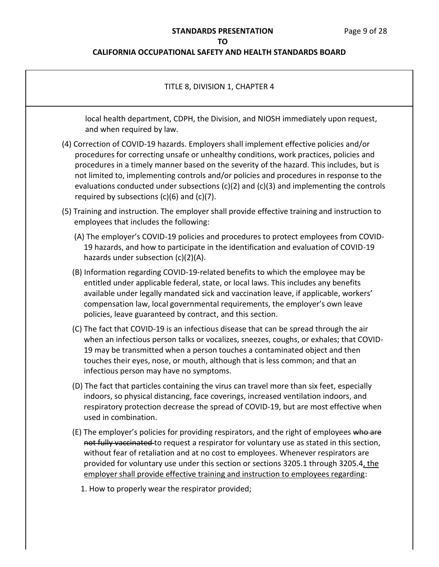### **STANDARDS PRESENTATION** Page 9 of 28

#### **TO**

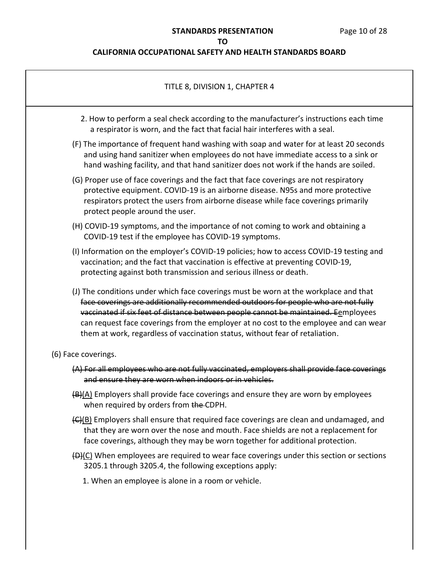| TITLE 8, DIVISION 1, CHAPTER 4                                                                                                                                                                                                                                                                                                                                                                                                          |  |
|-----------------------------------------------------------------------------------------------------------------------------------------------------------------------------------------------------------------------------------------------------------------------------------------------------------------------------------------------------------------------------------------------------------------------------------------|--|
| 2. How to perform a seal check according to the manufacturer's instructions each time<br>a respirator is worn, and the fact that facial hair interferes with a seal.                                                                                                                                                                                                                                                                    |  |
| (F) The importance of frequent hand washing with soap and water for at least 20 seconds<br>and using hand sanitizer when employees do not have immediate access to a sink or<br>hand washing facility, and that hand sanitizer does not work if the hands are soiled.                                                                                                                                                                   |  |
| (G) Proper use of face coverings and the fact that face coverings are not respiratory<br>protective equipment. COVID-19 is an airborne disease. N95s and more protective<br>respirators protect the users from airborne disease while face coverings primarily<br>protect people around the user.                                                                                                                                       |  |
| (H) COVID-19 symptoms, and the importance of not coming to work and obtaining a<br>COVID-19 test if the employee has COVID-19 symptoms.                                                                                                                                                                                                                                                                                                 |  |
| (I) Information on the employer's COVID-19 policies; how to access COVID-19 testing and<br>vaccination; and the fact that vaccination is effective at preventing COVID-19,<br>protecting against both transmission and serious illness or death.                                                                                                                                                                                        |  |
| (J) The conditions under which face coverings must be worn at the workplace and that<br>face coverings are additionally recommended outdoors for people who are not fully<br>vaccinated if six feet of distance between people cannot be maintained. Eemployees<br>can request face coverings from the employer at no cost to the employee and can wear<br>them at work, regardless of vaccination status, without fear of retaliation. |  |
| (6) Face coverings.                                                                                                                                                                                                                                                                                                                                                                                                                     |  |
| (A) For all employees who are not fully vaccinated, employers shall provide face coverings<br>and ensure they are worn when indoors or in vehicles.                                                                                                                                                                                                                                                                                     |  |
| (B)(A) Employers shall provide face coverings and ensure they are worn by employees<br>when required by orders from the-CDPH.                                                                                                                                                                                                                                                                                                           |  |
| (G)(B) Employers shall ensure that required face coverings are clean and undamaged, and<br>that they are worn over the nose and mouth. Face shields are not a replacement for<br>face coverings, although they may be worn together for additional protection.                                                                                                                                                                          |  |
| $\bigoplus$ (C) When employees are required to wear face coverings under this section or sections<br>3205.1 through 3205.4, the following exceptions apply:                                                                                                                                                                                                                                                                             |  |
| 1. When an employee is alone in a room or vehicle.                                                                                                                                                                                                                                                                                                                                                                                      |  |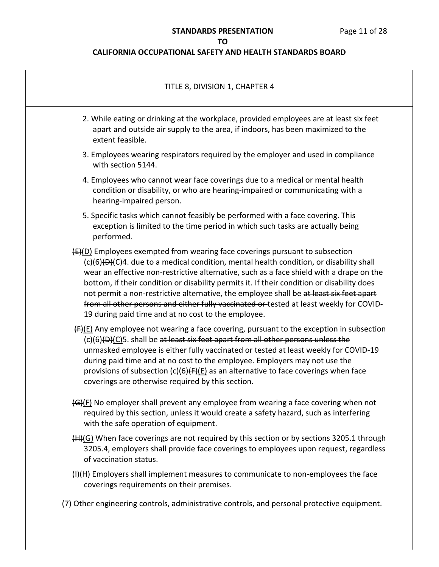## **STANDARDS PRESENTATION** Page 11 of 28

## **TO**

# **CALIFORNIA OCCUPATIONAL SAFETY AND HEALTH STANDARDS BOARD**

| TITLE 8, DIVISION 1, CHAPTER 4                                                                                                                                                                                                                                                                                                                                                                                                                                                                                                                                                                                   |
|------------------------------------------------------------------------------------------------------------------------------------------------------------------------------------------------------------------------------------------------------------------------------------------------------------------------------------------------------------------------------------------------------------------------------------------------------------------------------------------------------------------------------------------------------------------------------------------------------------------|
| 2. While eating or drinking at the workplace, provided employees are at least six feet<br>apart and outside air supply to the area, if indoors, has been maximized to the<br>extent feasible.                                                                                                                                                                                                                                                                                                                                                                                                                    |
| 3. Employees wearing respirators required by the employer and used in compliance<br>with section 5144.                                                                                                                                                                                                                                                                                                                                                                                                                                                                                                           |
| 4. Employees who cannot wear face coverings due to a medical or mental health<br>condition or disability, or who are hearing-impaired or communicating with a<br>hearing-impaired person.                                                                                                                                                                                                                                                                                                                                                                                                                        |
| 5. Specific tasks which cannot feasibly be performed with a face covering. This<br>exception is limited to the time period in which such tasks are actually being<br>performed.                                                                                                                                                                                                                                                                                                                                                                                                                                  |
| $(E)(D)$ Employees exempted from wearing face coverings pursuant to subsection<br>(c)(6)(D)(C)4. due to a medical condition, mental health condition, or disability shall<br>wear an effective non-restrictive alternative, such as a face shield with a drape on the<br>bottom, if their condition or disability permits it. If their condition or disability does<br>not permit a non-restrictive alternative, the employee shall be at least six feet apart<br>from all other persons and either fully vaccinated or tested at least weekly for COVID-<br>19 during paid time and at no cost to the employee. |
| $F(E)$ Any employee not wearing a face covering, pursuant to the exception in subsection<br>(c)(6)(D)(C)5. shall be at least six feet apart from all other persons unless the<br>unmasked employee is either fully vaccinated or tested at least weekly for COVID-19<br>during paid time and at no cost to the employee. Employers may not use the<br>provisions of subsection $(c)(6)$ (F)(E) as an alternative to face coverings when face<br>coverings are otherwise required by this section.                                                                                                                |
| (G)(F) No employer shall prevent any employee from wearing a face covering when not<br>required by this section, unless it would create a safety hazard, such as interfering<br>with the safe operation of equipment.                                                                                                                                                                                                                                                                                                                                                                                            |
| $(H)(G)$ When face coverings are not required by this section or by sections 3205.1 through<br>3205.4, employers shall provide face coverings to employees upon request, regardless<br>of vaccination status.                                                                                                                                                                                                                                                                                                                                                                                                    |
| (H)(H) Employers shall implement measures to communicate to non-employees the face<br>coverings requirements on their premises.                                                                                                                                                                                                                                                                                                                                                                                                                                                                                  |

(7) Other engineering controls, administrative controls, and personal protective equipment.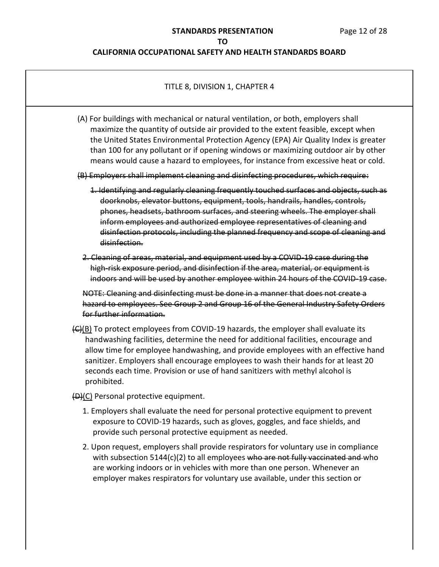| TITLE 8, DIVISION 1, CHAPTER 4                                                                                                                                                                                                                                                                                                                                                                                                                                           |  |
|--------------------------------------------------------------------------------------------------------------------------------------------------------------------------------------------------------------------------------------------------------------------------------------------------------------------------------------------------------------------------------------------------------------------------------------------------------------------------|--|
| (A) For buildings with mechanical or natural ventilation, or both, employers shall<br>maximize the quantity of outside air provided to the extent feasible, except when<br>the United States Environmental Protection Agency (EPA) Air Quality Index is greater<br>than 100 for any pollutant or if opening windows or maximizing outdoor air by other<br>means would cause a hazard to employees, for instance from excessive heat or cold.                             |  |
| (B) Employers shall implement cleaning and disinfecting procedures, which require:                                                                                                                                                                                                                                                                                                                                                                                       |  |
| 1. Identifying and regularly cleaning frequently touched surfaces and objects, such as<br>doorknobs, elevator buttons, equipment, tools, handrails, handles, controls,<br>phones, headsets, bathroom surfaces, and steering wheels. The employer shall<br>inform employees and authorized employee representatives of cleaning and<br>disinfection protocols, including the planned frequency and scope of cleaning and<br>disinfection.                                 |  |
| 2. Cleaning of areas, material, and equipment used by a COVID 19 case during the<br>high risk exposure period, and disinfection if the area, material, or equipment is<br>indoors and will be used by another employee within 24 hours of the COVID 19 case.                                                                                                                                                                                                             |  |
| NOTE: Cleaning and disinfecting must be done in a manner that does not create a<br>hazard to employees. See Group 2 and Group 16 of the General Industry Safety Orders<br>for further information.                                                                                                                                                                                                                                                                       |  |
| $\left(\frac{C}{B}\right)$ To protect employees from COVID-19 hazards, the employer shall evaluate its<br>handwashing facilities, determine the need for additional facilities, encourage and<br>allow time for employee handwashing, and provide employees with an effective hand<br>sanitizer. Employers shall encourage employees to wash their hands for at least 20<br>seconds each time. Provision or use of hand sanitizers with methyl alcohol is<br>prohibited. |  |
| (D)(C) Personal protective equipment.                                                                                                                                                                                                                                                                                                                                                                                                                                    |  |
| 1. Employers shall evaluate the need for personal protective equipment to prevent<br>exposure to COVID-19 hazards, such as gloves, goggles, and face shields, and<br>provide such personal protective equipment as needed.                                                                                                                                                                                                                                               |  |
| 2. Upon request, employers shall provide respirators for voluntary use in compliance<br>with subsection 5144(c)(2) to all employees who are not fully vaccinated and who<br>are working indoors or in vehicles with more than one person. Whenever an<br>employer makes respirators for voluntary use available, under this section or                                                                                                                                   |  |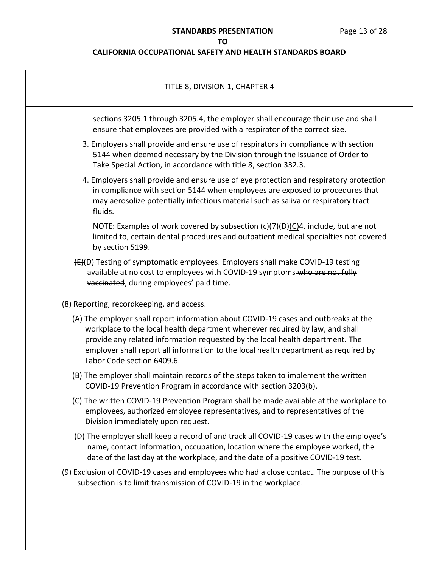# **STANDARDS PRESENTATION** Page 13 of 28

## **TO**

| TITLE 8, DIVISION 1, CHAPTER 4                                                                                                                                                                                                                                                                                                                                            |
|---------------------------------------------------------------------------------------------------------------------------------------------------------------------------------------------------------------------------------------------------------------------------------------------------------------------------------------------------------------------------|
| sections 3205.1 through 3205.4, the employer shall encourage their use and shall<br>ensure that employees are provided with a respirator of the correct size.                                                                                                                                                                                                             |
| 3. Employers shall provide and ensure use of respirators in compliance with section<br>5144 when deemed necessary by the Division through the Issuance of Order to<br>Take Special Action, in accordance with title 8, section 332.3.                                                                                                                                     |
| 4. Employers shall provide and ensure use of eye protection and respiratory protection<br>in compliance with section 5144 when employees are exposed to procedures that<br>may aerosolize potentially infectious material such as saliva or respiratory tract<br>fluids.                                                                                                  |
| NOTE: Examples of work covered by subsection $(c)(7)(D)(C)^2$ . include, but are not<br>limited to, certain dental procedures and outpatient medical specialties not covered<br>by section 5199.                                                                                                                                                                          |
| (E)(D) Testing of symptomatic employees. Employers shall make COVID-19 testing<br>available at no cost to employees with COVID-19 symptoms-who are not fully<br>vaccinated, during employees' paid time.                                                                                                                                                                  |
| (8) Reporting, recordkeeping, and access.                                                                                                                                                                                                                                                                                                                                 |
| (A) The employer shall report information about COVID-19 cases and outbreaks at the<br>workplace to the local health department whenever required by law, and shall<br>provide any related information requested by the local health department. The<br>employer shall report all information to the local health department as required by<br>Labor Code section 6409.6. |
| (B) The employer shall maintain records of the steps taken to implement the written<br>COVID-19 Prevention Program in accordance with section 3203(b).                                                                                                                                                                                                                    |
| (C) The written COVID-19 Prevention Program shall be made available at the workplace to<br>employees, authorized employee representatives, and to representatives of the<br>Division immediately upon request.                                                                                                                                                            |
| (D) The employer shall keep a record of and track all COVID-19 cases with the employee's<br>name, contact information, occupation, location where the employee worked, the<br>date of the last day at the workplace, and the date of a positive COVID-19 test.                                                                                                            |
| (9) Exclusion of COVID-19 cases and employees who had a close contact. The purpose of this<br>subsection is to limit transmission of COVID-19 in the workplace.                                                                                                                                                                                                           |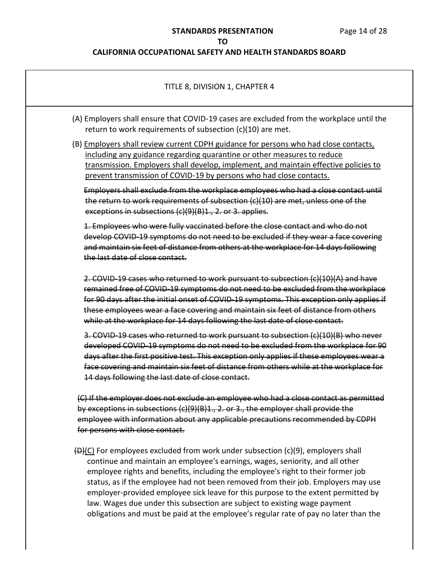## **STANDARDS PRESENTATION** Page 14 of 28

## **TO**

| TITLE 8, DIVISION 1, CHAPTER 4                                                                                                                                                                                                                                                                                                                                                                                                                                                                                                                                                                       |
|------------------------------------------------------------------------------------------------------------------------------------------------------------------------------------------------------------------------------------------------------------------------------------------------------------------------------------------------------------------------------------------------------------------------------------------------------------------------------------------------------------------------------------------------------------------------------------------------------|
| (A) Employers shall ensure that COVID-19 cases are excluded from the workplace until the<br>return to work requirements of subsection (c)(10) are met.                                                                                                                                                                                                                                                                                                                                                                                                                                               |
| (B) Employers shall review current CDPH guidance for persons who had close contacts,<br>including any guidance regarding quarantine or other measures to reduce<br>transmission. Employers shall develop, implement, and maintain effective policies to<br>prevent transmission of COVID-19 by persons who had close contacts.                                                                                                                                                                                                                                                                       |
| Employers shall exclude from the workplace employees who had a close contact until<br>the return to work requirements of subsection (c)(10) are met, unless one of the<br>exceptions in subsections (c)(9)(B)1., 2. or 3. applies.                                                                                                                                                                                                                                                                                                                                                                   |
| 1. Employees who were fully vaccinated before the close contact and who do not<br>develop COVID 19 symptoms do not need to be excluded if they wear a face covering<br>and maintain six feet of distance from others at the workplace for 14 days following<br>the last date of close contact.                                                                                                                                                                                                                                                                                                       |
| 2. COVID 19 cases who returned to work pursuant to subsection (c)(10)(A) and have<br>remained free of COVID 19 symptoms do not need to be excluded from the workplace<br>for 90 days after the initial onset of COVID-19 symptoms. This exception only applies if<br>these employees wear a face covering and maintain six feet of distance from others<br>while at the workplace for 14 days following the last date of close contact.                                                                                                                                                              |
| 3. COVID-19 cases who returned to work pursuant to subsection (c)(10)(B) who never<br>developed COVID-19 symptoms do not need to be excluded from the workplace for 90<br>days after the first positive test. This exception only applies if these employees wear a<br>face covering and maintain six feet of distance from others while at the workplace for<br>14 days following the last date of close contact.                                                                                                                                                                                   |
| (C) If the employer does not exclude an employee who had a close contact as permitted<br>by exceptions in subsections (c)(9)(B)1., 2. or 3., the employer shall provide the<br>employee with information about any applicable precautions recommended by CDPH<br>for persons with close contact.                                                                                                                                                                                                                                                                                                     |
| (D)(C) For employees excluded from work under subsection (c)(9), employers shall<br>continue and maintain an employee's earnings, wages, seniority, and all other<br>employee rights and benefits, including the employee's right to their former job<br>status, as if the employee had not been removed from their job. Employers may use<br>employer-provided employee sick leave for this purpose to the extent permitted by<br>law. Wages due under this subsection are subject to existing wage payment<br>obligations and must be paid at the employee's regular rate of pay no later than the |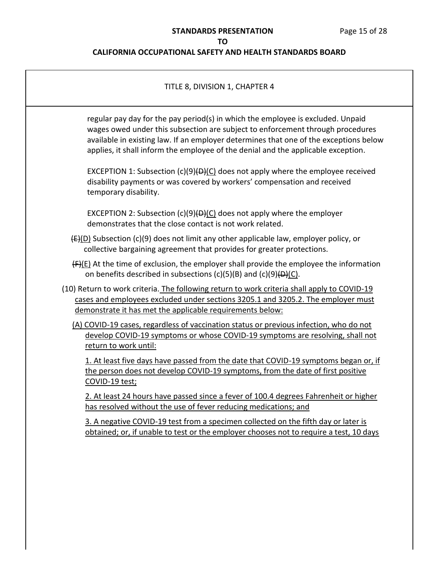| TITLE 8, DIVISION 1, CHAPTER 4                                                                                                                                                                                                                                                                                                                  |  |
|-------------------------------------------------------------------------------------------------------------------------------------------------------------------------------------------------------------------------------------------------------------------------------------------------------------------------------------------------|--|
| regular pay day for the pay period(s) in which the employee is excluded. Unpaid<br>wages owed under this subsection are subject to enforcement through procedures<br>available in existing law. If an employer determines that one of the exceptions below<br>applies, it shall inform the employee of the denial and the applicable exception. |  |
| EXCEPTION 1: Subsection $(c)(9)(D)(C)$ does not apply where the employee received<br>disability payments or was covered by workers' compensation and received<br>temporary disability.                                                                                                                                                          |  |
| EXCEPTION 2: Subsection $(c)(9)(D)(C)$ does not apply where the employer<br>demonstrates that the close contact is not work related.                                                                                                                                                                                                            |  |
| $\left(\frac{E}{D}\right)$ Subsection (c)(9) does not limit any other applicable law, employer policy, or<br>collective bargaining agreement that provides for greater protections.                                                                                                                                                             |  |
| $(F)(E)$ At the time of exclusion, the employer shall provide the employee the information<br>on benefits described in subsections $(c)(5)(B)$ and $(c)(9)(D)(C)$ .                                                                                                                                                                             |  |
| (10) Return to work criteria. The following return to work criteria shall apply to COVID-19<br>cases and employees excluded under sections 3205.1 and 3205.2. The employer must<br>demonstrate it has met the applicable requirements below:                                                                                                    |  |
| (A) COVID-19 cases, regardless of vaccination status or previous infection, who do not<br>develop COVID-19 symptoms or whose COVID-19 symptoms are resolving, shall not<br>return to work until:                                                                                                                                                |  |
| 1. At least five days have passed from the date that COVID-19 symptoms began or, if<br>the person does not develop COVID-19 symptoms, from the date of first positive<br>COVID-19 test;                                                                                                                                                         |  |
| 2. At least 24 hours have passed since a fever of 100.4 degrees Fahrenheit or higher<br>has resolved without the use of fever reducing medications; and                                                                                                                                                                                         |  |
| 3. A negative COVID-19 test from a specimen collected on the fifth day or later is<br>obtained; or, if unable to test or the employer chooses not to require a test, 10 days                                                                                                                                                                    |  |
|                                                                                                                                                                                                                                                                                                                                                 |  |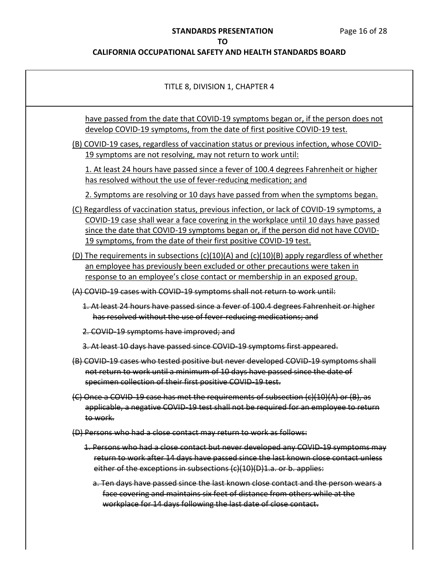# **STANDARDS PRESENTATION** Page 16 of 28

## **TO**

| TITLE 8, DIVISION 1, CHAPTER 4                                                                                                                                                                                                                                                                                                             |
|--------------------------------------------------------------------------------------------------------------------------------------------------------------------------------------------------------------------------------------------------------------------------------------------------------------------------------------------|
| have passed from the date that COVID-19 symptoms began or, if the person does not<br>develop COVID-19 symptoms, from the date of first positive COVID-19 test.                                                                                                                                                                             |
| (B) COVID-19 cases, regardless of vaccination status or previous infection, whose COVID-<br>19 symptoms are not resolving, may not return to work until:                                                                                                                                                                                   |
| 1. At least 24 hours have passed since a fever of 100.4 degrees Fahrenheit or higher<br>has resolved without the use of fever-reducing medication; and                                                                                                                                                                                     |
| 2. Symptoms are resolving or 10 days have passed from when the symptoms began.                                                                                                                                                                                                                                                             |
| (C) Regardless of vaccination status, previous infection, or lack of COVID-19 symptoms, a<br>COVID-19 case shall wear a face covering in the workplace until 10 days have passed<br>since the date that COVID-19 symptoms began or, if the person did not have COVID-<br>19 symptoms, from the date of their first positive COVID-19 test. |
| (D) The requirements in subsections (c)(10)(A) and (c)(10)(B) apply regardless of whether<br>an employee has previously been excluded or other precautions were taken in<br>response to an employee's close contact or membership in an exposed group.                                                                                     |
| (A) COVID 19 cases with COVID 19 symptoms shall not return to work until:                                                                                                                                                                                                                                                                  |
| 1. At least 24 hours have passed since a fever of 100.4 degrees Fahrenheit or higher<br>has resolved without the use of fever-reducing medications; and                                                                                                                                                                                    |
| 2. COVID-19 symptoms have improved; and                                                                                                                                                                                                                                                                                                    |
| 3. At least 10 days have passed since COVID-19 symptoms first appeared.                                                                                                                                                                                                                                                                    |
| (B) COVID-19 cases who tested positive but never developed COVID-19 symptoms shall<br>not return to work until a minimum of 10 days have passed since the date of<br>specimen collection of their first positive COVID-19 test.                                                                                                            |
| $\left\langle \mathsf{C} \right\rangle$ Once a COVID 19 case has met the requirements of subsection $\left\langle \mathsf{c} \right\rangle$ (10)(A) or (B), as<br>applicable, a negative COVID 19 test shall not be required for an employee to return<br>to work.                                                                         |
| (D) Persons who had a close contact may return to work as follows:                                                                                                                                                                                                                                                                         |
| 1. Persons who had a close contact but never developed any COVID 19 symptoms may<br>return to work after 14 days have passed since the last known close contact unless<br>either of the exceptions in subsections (c)(10)(D)1.a. or b. applies:                                                                                            |
| a. Ten days have passed since the last known close contact and the person wears a<br>face covering and maintains six feet of distance from others while at the<br>workplace for 14 days following the last date of close contact.                                                                                                          |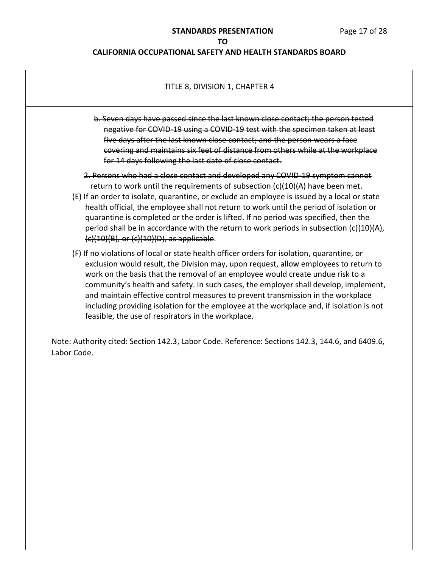## **CALIFORNIA OCCUPATIONAL SAFETY AND HEALTH STANDARDS BOARD**

# TITLE 8, DIVISION 1, CHAPTER 4 b. Seven days have passed since the last known close contact; the person tested negative for COVID-19 using a COVID-19 test with the specimen taken at least five days after the last known close contact; and the person wears a face covering and maintains six feet of distance from others while at the workplace for 14 days following the last date of close contact. 2. Persons who had a close contact and developed any COVID-19 symptom cannot return to work until the requirements of subsection  $(c)(10)(A)$  have been met. (E) If an order to isolate, quarantine, or exclude an employee is issued by a local or state health official, the employee shall not return to work until the period of isolation or quarantine is completed or the order is lifted. If no period was specified, then the period shall be in accordance with the return to work periods in subsection  $(c)(10)(A)$ ,  $(c)(10)(B)$ , or  $(c)(10)(D)$ , as applicable. (F) If no violations of local or state health officer orders for isolation, quarantine, or exclusion would result, the Division may, upon request, allow employees to return to work on the basis that the removal of an employee would create undue risk to a community's health and safety. In such cases, the employer shall develop, implement, and maintain effective control measures to prevent transmission in the workplace including providing isolation for the employee at the workplace and, if isolation is not feasible, the use of respirators in the workplace. Note: Authority cited: Section 142.3, Labor Code. Reference: Sections 142.3, 144.6, and 6409.6, Labor Code.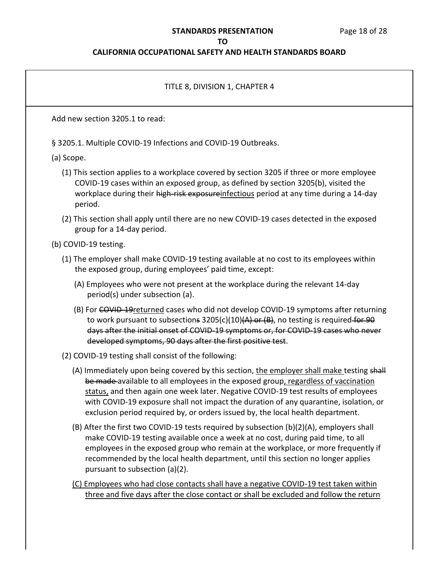### **STANDARDS PRESENTATION** Page 18 of 28

#### **TO**

### **CALIFORNIA OCCUPATIONAL SAFETY AND HEALTH STANDARDS BOARD**

# TITLE 8, DIVISION 1, CHAPTER 4 Add new section 3205.1 to read: § 3205.1. Multiple COVID-19 Infections and COVID-19 Outbreaks. (a) Scope. (1) This section applies to a workplace covered by section 3205 if three or more employee COVID-19 cases within an exposed group, as defined by section 3205(b), visited the workplace during their high-risk exposureinfectious period at any time during a 14-day period. (2) This section shall apply until there are no new COVID-19 cases detected in the exposed group for a 14-day period. (b) COVID-19 testing. (1) The employer shall make COVID-19 testing available at no cost to its employees within the exposed group, during employees' paid time, except: (A) Employees who were not present at the workplace during the relevant 14-day period(s) under subsection (a). (B) For COVID-19 returned cases who did not develop COVID-19 symptoms after returning to work pursuant to subsections  $3205(c)(10)(A)$  or  $(B)$ , no testing is required for 90 days after the initial onset of COVID-19 symptoms or, for COVID-19 cases who never developed symptoms, 90 days after the first positive test. (2) COVID-19 testing shall consist of the following: (A) Immediately upon being covered by this section, the employer shall make testing shall be made available to all employees in the exposed group, regardless of vaccination status, and then again one week later. Negative COVID-19 test results of employees with COVID-19 exposure shall not impact the duration of any quarantine, isolation, or exclusion period required by, or orders issued by, the local health department. (B) After the first two COVID-19 tests required by subsection (b)(2)(A), employers shall make COVID-19 testing available once a week at no cost, during paid time, to all employees in the exposed group who remain at the workplace, or more frequently if recommended by the local health department, until this section no longer applies pursuant to subsection (a)(2). (C) Employees who had close contacts shall have a negative COVID-19 test taken within three and five days after the close contact or shall be excluded and follow the return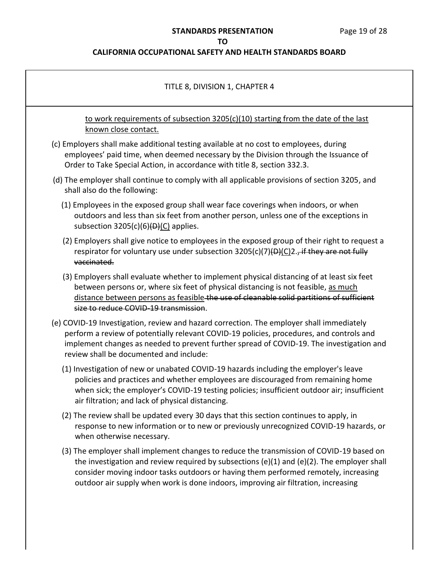# **STANDARDS PRESENTATION** Page 19 of 28

## **TO**

| TITLE 8, DIVISION 1, CHAPTER 4                                                                                                                                                                                                                                                                                                                                      |
|---------------------------------------------------------------------------------------------------------------------------------------------------------------------------------------------------------------------------------------------------------------------------------------------------------------------------------------------------------------------|
| to work requirements of subsection 3205(c)(10) starting from the date of the last<br>known close contact.                                                                                                                                                                                                                                                           |
| (c) Employers shall make additional testing available at no cost to employees, during<br>employees' paid time, when deemed necessary by the Division through the Issuance of<br>Order to Take Special Action, in accordance with title 8, section 332.3.                                                                                                            |
| (d) The employer shall continue to comply with all applicable provisions of section 3205, and<br>shall also do the following:                                                                                                                                                                                                                                       |
| (1) Employees in the exposed group shall wear face coverings when indoors, or when<br>outdoors and less than six feet from another person, unless one of the exceptions in<br>subsection $3205(c)(6)$ ( $\Theta$ )(C) applies.                                                                                                                                      |
| (2) Employers shall give notice to employees in the exposed group of their right to request a<br>respirator for voluntary use under subsection 3205(c)(7)(D)(C)2., if they are not fully<br>vaccinated.                                                                                                                                                             |
| (3) Employers shall evaluate whether to implement physical distancing of at least six feet<br>between persons or, where six feet of physical distancing is not feasible, as much<br>distance between persons as feasible-the use of cleanable solid partitions of sufficient<br>size to reduce COVID-19 transmission.                                               |
| (e) COVID-19 Investigation, review and hazard correction. The employer shall immediately<br>perform a review of potentially relevant COVID-19 policies, procedures, and controls and<br>implement changes as needed to prevent further spread of COVID-19. The investigation and<br>review shall be documented and include:                                         |
| (1) Investigation of new or unabated COVID-19 hazards including the employer's leave<br>policies and practices and whether employees are discouraged from remaining home<br>when sick; the employer's COVID-19 testing policies; insufficient outdoor air; insufficient<br>air filtration; and lack of physical distancing.                                         |
| (2) The review shall be updated every 30 days that this section continues to apply, in<br>response to new information or to new or previously unrecognized COVID-19 hazards, or<br>when otherwise necessary.                                                                                                                                                        |
| (3) The employer shall implement changes to reduce the transmission of COVID-19 based on<br>the investigation and review required by subsections (e)(1) and (e)(2). The employer shall<br>consider moving indoor tasks outdoors or having them performed remotely, increasing<br>outdoor air supply when work is done indoors, improving air filtration, increasing |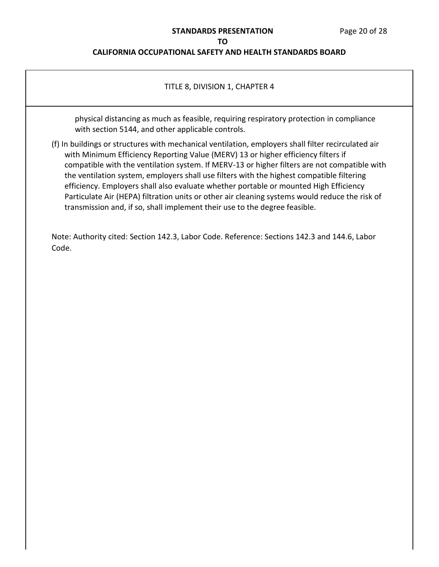### **STANDARDS PRESENTATION** Page 20 of 28

### **TO CALIFORNIA OCCUPATIONAL SAFETY AND HEALTH STANDARDS BOARD**

## TITLE 8, DIVISION 1, CHAPTER 4

physical distancing as much as feasible, requiring respiratory protection in compliance with section 5144, and other applicable controls.

(f) In buildings or structures with mechanical ventilation, employers shall filter recirculated air with Minimum Efficiency Reporting Value (MERV) 13 or higher efficiency filters if compatible with the ventilation system. If MERV-13 or higher filters are not compatible with the ventilation system, employers shall use filters with the highest compatible filtering efficiency. Employers shall also evaluate whether portable or mounted High Efficiency Particulate Air (HEPA) filtration units or other air cleaning systems would reduce the risk of transmission and, if so, shall implement their use to the degree feasible.

Note: Authority cited: Section 142.3, Labor Code. Reference: Sections 142.3 and 144.6, Labor Code.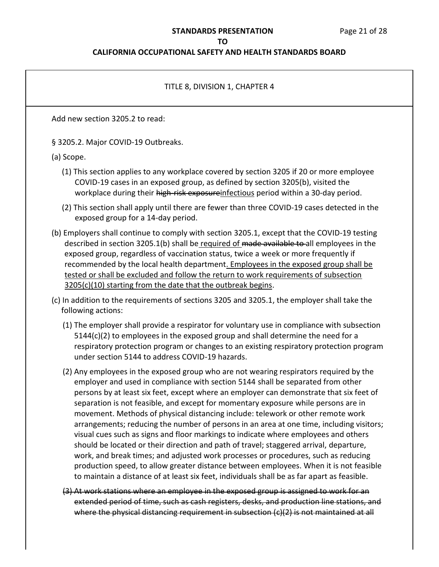### **STANDARDS PRESENTATION** Page 21 of 28

#### **TO**

### **CALIFORNIA OCCUPATIONAL SAFETY AND HEALTH STANDARDS BOARD**

## TITLE 8, DIVISION 1, CHAPTER 4

Add new section 3205.2 to read:

§ 3205.2. Major COVID-19 Outbreaks.

(a) Scope.

- (1) This section applies to any workplace covered by section 3205 if 20 or more employee COVID-19 cases in an exposed group, as defined by section 3205(b), visited the workplace during their high-risk exposureinfectious period within a 30-day period.
- (2) This section shall apply until there are fewer than three COVID-19 cases detected in the exposed group for a 14-day period.
- (b) Employers shall continue to comply with section 3205.1, except that the COVID-19 testing described in section 3205.1(b) shall be required of made available to all employees in the exposed group, regardless of vaccination status, twice a week or more frequently if recommended by the local health department. Employees in the exposed group shall be tested or shall be excluded and follow the return to work requirements of subsection 3205(c)(10) starting from the date that the outbreak begins.
- (c) In addition to the requirements of sections 3205 and 3205.1, the employer shall take the following actions:
	- (1) The employer shall provide a respirator for voluntary use in compliance with subsection 5144(c)(2) to employees in the exposed group and shall determine the need for a respiratory protection program or changes to an existing respiratory protection program under section 5144 to address COVID-19 hazards.
	- (2) Any employees in the exposed group who are not wearing respirators required by the employer and used in compliance with section 5144 shall be separated from other persons by at least six feet, except where an employer can demonstrate that six feet of separation is not feasible, and except for momentary exposure while persons are in movement. Methods of physical distancing include: telework or other remote work arrangements; reducing the number of persons in an area at one time, including visitors; visual cues such as signs and floor markings to indicate where employees and others should be located or their direction and path of travel; staggered arrival, departure, work, and break times; and adjusted work processes or procedures, such as reducing production speed, to allow greater distance between employees. When it is not feasible to maintain a distance of at least six feet, individuals shall be as far apart as feasible.
	- (3) At work stations where an employee in the exposed group is assigned to work for an extended period of time, such as cash registers, desks, and production line stations, and where the physical distancing requirement in subsection (c)(2) is not maintained at all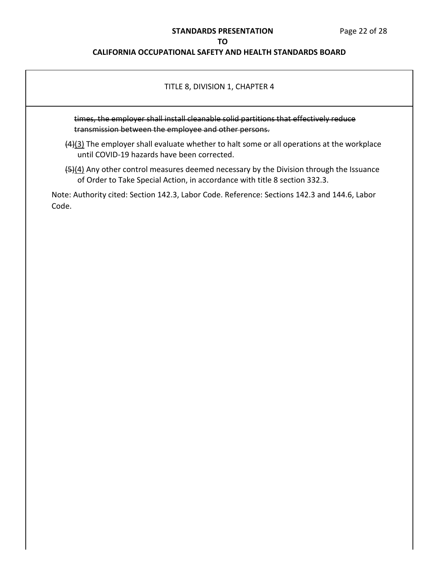### **STANDARDS PRESENTATION** Page 22 of 28

### **TO**

## **CALIFORNIA OCCUPATIONAL SAFETY AND HEALTH STANDARDS BOARD**

### TITLE 8, DIVISION 1, CHAPTER 4

times, the employer shall install cleanable solid partitions that effectively reduce transmission between the employee and other persons.

- (4)(3) The employer shall evaluate whether to halt some or all operations at the workplace until COVID-19 hazards have been corrected.
- (5)(4) Any other control measures deemed necessary by the Division through the Issuance of Order to Take Special Action, in accordance with title 8 section 332.3.

Note: Authority cited: Section 142.3, Labor Code. Reference: Sections 142.3 and 144.6, Labor Code.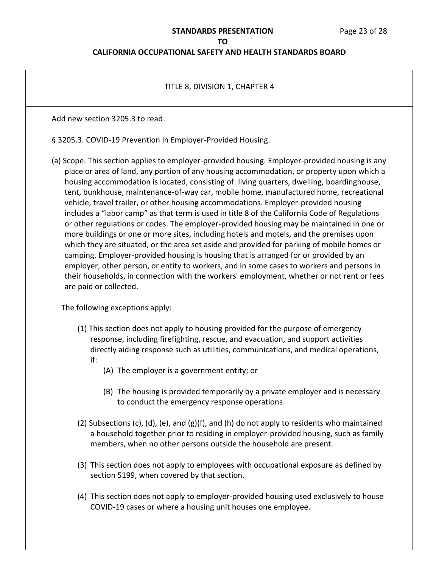## **CALIFORNIA OCCUPATIONAL SAFETY AND HEALTH STANDARDS BOARD**

### TITLE 8, DIVISION 1, CHAPTER 4

Add new section 3205.3 to read:

§ 3205.3. COVID-19 Prevention in Employer-Provided Housing.

 (a) Scope. This section applies to employer-provided housing. Employer-provided housing is any place or area of land, any portion of any housing accommodation, or property upon which a includes a "labor camp" as that term is used in title 8 of the California Code of Regulations or other regulations or codes. The employer-provided housing may be maintained in one or more buildings or one or more sites, including hotels and motels, and the premises upon which they are situated, or the area set aside and provided for parking of mobile homes or camping. Employer-provided housing is housing that is arranged for or provided by an employer, other person, or entity to workers, and in some cases to workers and persons in their households, in connection with the workers' employment, whether or not rent or fees are paid or collected. housing accommodation is located, consisting of: living quarters, dwelling, boardinghouse, tent, bunkhouse, maintenance-of-way car, mobile home, manufactured home, recreational vehicle, travel trailer, or other housing accommodations. Employer-provided housing

The following exceptions apply:

- (1) This section does not apply to housing provided for the purpose of emergency response, including firefighting, rescue, and evacuation, and support activities directly aiding response such as utilities, communications, and medical operations, if:
	- (A) The employer is a government entity; or
	- (B) The housing is provided temporarily by a private employer and is necessary to conduct the emergency response operations.
- (2) Subsections (c), (d), (e), and (g)(f), and (h) do not apply to residents who maintained a household together prior to residing in employer-provided housing, such as family members, when no other persons outside the household are present.
- (3) This section does not apply to employees with occupational exposure as defined by section 5199, when covered by that section.
- (4) This section does not apply to employer-provided housing used exclusively to house COVID-19 cases or where a housing unit houses one employee.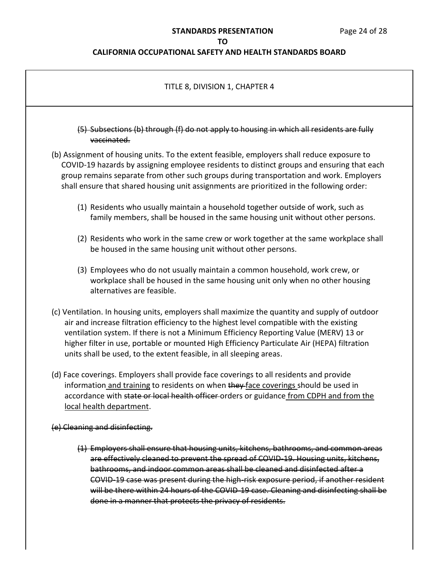### **STANDARDS PRESENTATION** Page 24 of 28

### **TO**

### **CALIFORNIA OCCUPATIONAL SAFETY AND HEALTH STANDARDS BOARD**

# TITLE 8, DIVISION 1, CHAPTER 4 (5) Subsections (b) through (f) do not apply to housing in which all residents are fully (b) Assignment of housing units. To the extent feasible, employers shall reduce exposure to COVID-19 hazards by assigning employee residents to distinct groups and ensuring that each shall ensure that shared housing unit assignments are prioritized in the following order: (1) Residents who usually maintain a household together outside of work, such as family members, shall be housed in the same housing unit without other persons. (2) Residents who work in the same crew or work together at the same workplace shall be housed in the same housing unit without other persons. (3) Employees who do not usually maintain a common household, work crew, or workplace shall be housed in the same housing unit only when no other housing (c) Ventilation. In housing units, employers shall maximize the quantity and supply of outdoor air and increase filtration efficiency to the highest level compatible with the existing ventilation system. If there is not a Minimum Efficiency Reporting Value (MERV) 13 or higher filter in use, portable or mounted High Efficiency Particulate Air (HEPA) filtration units shall be used, to the extent feasible, in all sleeping areas. (1) Employers shall ensure that housing units, kitchens, bathrooms, and common areas are effectively cleaned to prevent the spread of COVID-19. Housing units, kitchens, bathrooms, and indoor common areas shall be cleaned and disinfected after a COVID-19 case was present during the high-risk exposure period, if another resident will be there within 24 hours of the COVID-19 case. Cleaning and disinfecting shall be done in a manner that protects the privacy of residents. vaccinated. group remains separate from other such groups during transportation and work. Employers alternatives are feasible. (d) Face coverings. Employers shall provide face coverings to all residents and provide information and training to residents on when they face coverings should be used in accordance with state or local health officer orders or guidance from CDPH and from the local health department. (e) Cleaning and disinfecting.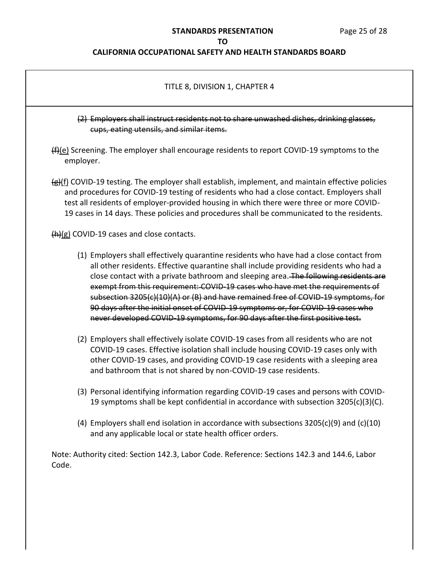## **STANDARDS PRESENTATION** Page 25 of 28

### **TO**

| (2) Employers shall instruct residents not to share unwashed dishes, drinking glasses,<br>cups, eating utensils, and similar items. |                                                                                                                                                                                                                                                                                                                                                                                                                                                                                                                                                                                                                   |  |
|-------------------------------------------------------------------------------------------------------------------------------------|-------------------------------------------------------------------------------------------------------------------------------------------------------------------------------------------------------------------------------------------------------------------------------------------------------------------------------------------------------------------------------------------------------------------------------------------------------------------------------------------------------------------------------------------------------------------------------------------------------------------|--|
|                                                                                                                                     | $(f)$ (e) Screening. The employer shall encourage residents to report COVID-19 symptoms to the<br>employer.                                                                                                                                                                                                                                                                                                                                                                                                                                                                                                       |  |
|                                                                                                                                     | $\frac{f(x)}{f(x)}$ COVID-19 testing. The employer shall establish, implement, and maintain effective policies<br>and procedures for COVID-19 testing of residents who had a close contact. Employers shall<br>test all residents of employer-provided housing in which there were three or more COVID-<br>19 cases in 14 days. These policies and procedures shall be communicated to the residents.                                                                                                                                                                                                             |  |
|                                                                                                                                     | $(h)(g)$ COVID-19 cases and close contacts.                                                                                                                                                                                                                                                                                                                                                                                                                                                                                                                                                                       |  |
|                                                                                                                                     | (1) Employers shall effectively quarantine residents who have had a close contact from<br>all other residents. Effective quarantine shall include providing residents who had a<br>close contact with a private bathroom and sleeping area. The following residents are<br>exempt from this requirement: COVID-19 cases who have met the requirements of<br>subsection 3205(c)(10)(A) or (B) and have remained free of COVID-19 symptoms, for<br>90 days after the initial onset of COVID-19 symptoms or, for COVID-19 cases who<br>never developed COVID-19 symptoms, for 90 days after the first positive test. |  |
|                                                                                                                                     | (2) Employers shall effectively isolate COVID-19 cases from all residents who are not<br>COVID-19 cases. Effective isolation shall include housing COVID-19 cases only with<br>other COVID-19 cases, and providing COVID-19 case residents with a sleeping area<br>and bathroom that is not shared by non-COVID-19 case residents.                                                                                                                                                                                                                                                                                |  |
|                                                                                                                                     | (3) Personal identifying information regarding COVID-19 cases and persons with COVID-<br>19 symptoms shall be kept confidential in accordance with subsection 3205(c)(3)(C).                                                                                                                                                                                                                                                                                                                                                                                                                                      |  |
|                                                                                                                                     | (4) Employers shall end isolation in accordance with subsections $3205(c)(9)$ and $(c)(10)$<br>and any applicable local or state health officer orders.                                                                                                                                                                                                                                                                                                                                                                                                                                                           |  |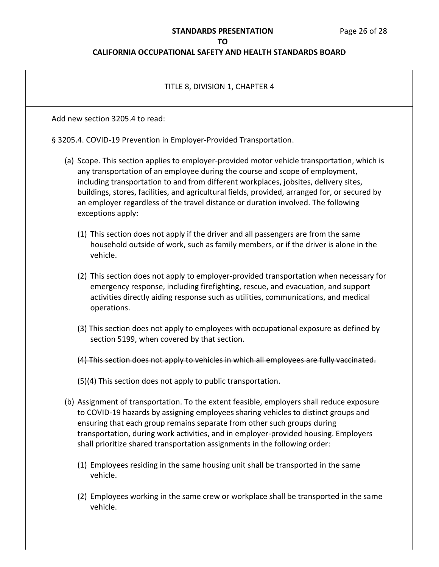# **STANDARDS PRESENTATION** Page 26 of 28

## **TO**

| TITLE 8, DIVISION 1, CHAPTER 4                                                                                                                                                                                                                                                                                                                                                                                                                                                 |
|--------------------------------------------------------------------------------------------------------------------------------------------------------------------------------------------------------------------------------------------------------------------------------------------------------------------------------------------------------------------------------------------------------------------------------------------------------------------------------|
| Add new section 3205.4 to read:                                                                                                                                                                                                                                                                                                                                                                                                                                                |
| § 3205.4. COVID-19 Prevention in Employer-Provided Transportation.                                                                                                                                                                                                                                                                                                                                                                                                             |
| (a) Scope. This section applies to employer-provided motor vehicle transportation, which is<br>any transportation of an employee during the course and scope of employment,<br>including transportation to and from different workplaces, jobsites, delivery sites,<br>buildings, stores, facilities, and agricultural fields, provided, arranged for, or secured by<br>an employer regardless of the travel distance or duration involved. The following<br>exceptions apply: |
| (1) This section does not apply if the driver and all passengers are from the same<br>household outside of work, such as family members, or if the driver is alone in the<br>vehicle.                                                                                                                                                                                                                                                                                          |
| (2) This section does not apply to employer-provided transportation when necessary for<br>emergency response, including firefighting, rescue, and evacuation, and support<br>activities directly aiding response such as utilities, communications, and medical<br>operations.                                                                                                                                                                                                 |
| (3) This section does not apply to employees with occupational exposure as defined by<br>section 5199, when covered by that section.                                                                                                                                                                                                                                                                                                                                           |
| (4) This section does not apply to vehicles in which all employees are fully vaccinated.                                                                                                                                                                                                                                                                                                                                                                                       |
| $\frac{1}{2}(4)$ This section does not apply to public transportation.                                                                                                                                                                                                                                                                                                                                                                                                         |
| (b) Assignment of transportation. To the extent feasible, employers shall reduce exposure<br>to COVID-19 hazards by assigning employees sharing vehicles to distinct groups and<br>ensuring that each group remains separate from other such groups during<br>transportation, during work activities, and in employer-provided housing. Employers<br>shall prioritize shared transportation assignments in the following order:                                                |
| (1) Employees residing in the same housing unit shall be transported in the same<br>vehicle.                                                                                                                                                                                                                                                                                                                                                                                   |
| (2) Employees working in the same crew or workplace shall be transported in the same<br>vehicle.                                                                                                                                                                                                                                                                                                                                                                               |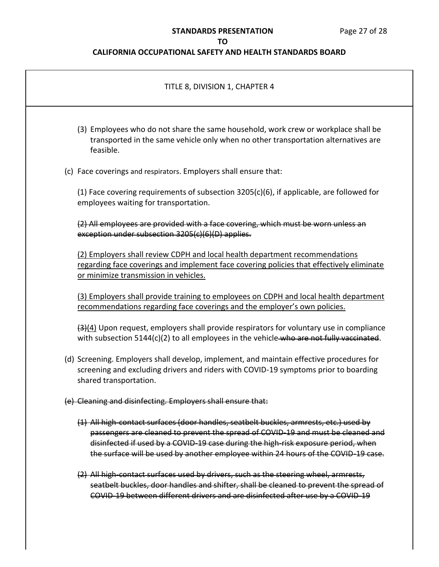# **STANDARDS PRESENTATION** Page 27 of 28

## **TO**

| TITLE 8, DIVISION 1, CHAPTER 4                                                                                                                                                                                                                                                                                                                        |
|-------------------------------------------------------------------------------------------------------------------------------------------------------------------------------------------------------------------------------------------------------------------------------------------------------------------------------------------------------|
| (3) Employees who do not share the same household, work crew or workplace shall be<br>transported in the same vehicle only when no other transportation alternatives are<br>feasible.                                                                                                                                                                 |
| (c) Face coverings and respirators. Employers shall ensure that:                                                                                                                                                                                                                                                                                      |
| (1) Face covering requirements of subsection $3205(c)(6)$ , if applicable, are followed for<br>employees waiting for transportation.                                                                                                                                                                                                                  |
| (2) All employees are provided with a face covering, which must be worn unless an<br>exception under subsection 3205(c)(6)(D) applies.                                                                                                                                                                                                                |
| (2) Employers shall review CDPH and local health department recommendations<br>regarding face coverings and implement face covering policies that effectively eliminate<br>or minimize transmission in vehicles.                                                                                                                                      |
| (3) Employers shall provide training to employees on CDPH and local health department<br>recommendations regarding face coverings and the employer's own policies.                                                                                                                                                                                    |
| $\frac{3(4)}{4}$ Upon request, employers shall provide respirators for voluntary use in compliance<br>with subsection 5144(c)(2) to all employees in the vehicle-who are not fully vaccinated.                                                                                                                                                        |
| (d) Screening. Employers shall develop, implement, and maintain effective procedures for<br>screening and excluding drivers and riders with COVID-19 symptoms prior to boarding<br>shared transportation.                                                                                                                                             |
| (e) Cleaning and disinfecting. Employers shall ensure that:                                                                                                                                                                                                                                                                                           |
| (1) All high-contact surfaces (door handles, seatbelt buckles, armrests, etc.) used by<br>passengers are cleaned to prevent the spread of COVID 19 and must be cleaned and<br>disinfected if used by a COVID 19 case during the high-risk exposure period, when<br>the surface will be used by another employee within 24 hours of the COVID 19 case. |
| (2) All high contact surfaces used by drivers, such as the steering wheel, armrests,<br>seatbelt buckles, door handles and shifter, shall be cleaned to prevent the spread of<br>COVID-19 between different drivers and are disinfected after use by a COVID-19                                                                                       |